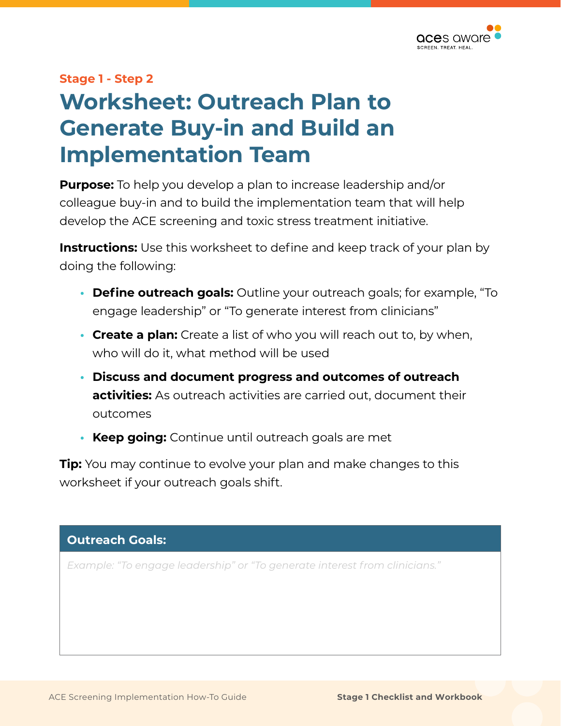

## **Stage 1 - Step 2 Worksheet: Outreach Plan to Generate Buy-in and Build an Implementation Team**

**Purpose:** To help you develop a plan to increase leadership and/or colleague buy-in and to build the implementation team that will help develop the ACE screening and toxic stress treatment initiative.

**Instructions:** Use this worksheet to define and keep track of your plan by doing the following:

- **Define outreach goals:** Outline your outreach goals; for example, "To engage leadership" or "To generate interest from clinicians"
- **• Create a plan:** Create a list of who you will reach out to, by when, who will do it, what method will be used
- **• Discuss and document progress and outcomes of outreach activities:** As outreach activities are carried out, document their outcomes
- **• Keep going:** Continue until outreach goals are met

**Tip:** You may continue to evolve your plan and make changes to this worksheet if your outreach goals shift.

## **Outreach Goals:**  *Example: "To engage leadership" or "To generate interest from clinicians."*